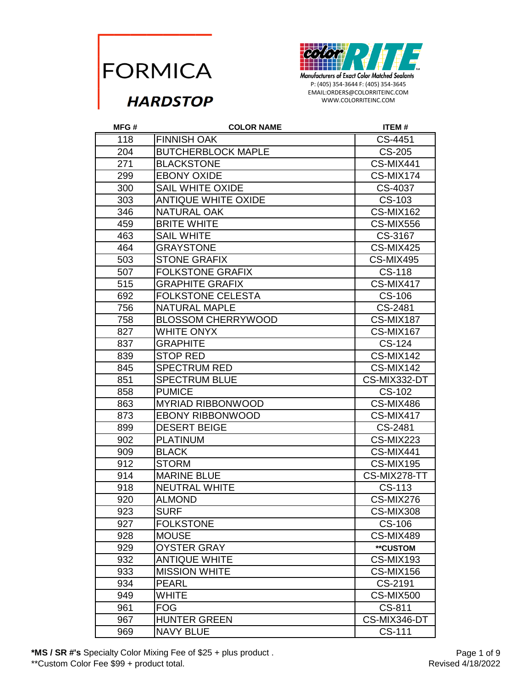

EMAIL:ORDERS@COLORRITEINC.COM WWW.COLORRITEINC.COM

| MFG# | <b>COLOR NAME</b>         | <b>ITEM#</b>  |
|------|---------------------------|---------------|
| 118  | <b>FINNISH OAK</b>        | CS-4451       |
| 204  | <b>BUTCHERBLOCK MAPLE</b> | <b>CS-205</b> |
| 271  | <b>BLACKSTONE</b>         | CS-MIX441     |
| 299  | <b>EBONY OXIDE</b>        | CS-MIX174     |
| 300  | <b>SAIL WHITE OXIDE</b>   | CS-4037       |
| 303  | ANTIQUE WHITE OXIDE       | CS-103        |
| 346  | <b>NATURAL OAK</b>        | CS-MIX162     |
| 459  | <b>BRITE WHITE</b>        | CS-MIX556     |
| 463  | <b>SAIL WHITE</b>         | CS-3167       |
| 464  | <b>GRAYSTONE</b>          | CS-MIX425     |
| 503  | <b>STONE GRAFIX</b>       | CS-MIX495     |
| 507  | <b>FOLKSTONE GRAFIX</b>   | <b>CS-118</b> |
| 515  | <b>GRAPHITE GRAFIX</b>    | CS-MIX417     |
| 692  | <b>FOLKSTONE CELESTA</b>  | CS-106        |
| 756  | <b>NATURAL MAPLE</b>      | CS-2481       |
| 758  | <b>BLOSSOM CHERRYWOOD</b> | CS-MIX187     |
| 827  | WHITE ONYX                | CS-MIX167     |
| 837  | <b>GRAPHITE</b>           | CS-124        |
| 839  | <b>STOP RED</b>           | CS-MIX142     |
| 845  | <b>SPECTRUM RED</b>       | CS-MIX142     |
| 851  | <b>SPECTRUM BLUE</b>      | CS-MIX332-DT  |
| 858  | <b>PUMICE</b>             | CS-102        |
| 863  | <b>MYRIAD RIBBONWOOD</b>  | CS-MIX486     |
| 873  | <b>EBONY RIBBONWOOD</b>   | CS-MIX417     |
| 899  | <b>DESERT BEIGE</b>       | CS-2481       |
| 902  | <b>PLATINUM</b>           | CS-MIX223     |
| 909  | <b>BLACK</b>              | CS-MIX441     |
| 912  | <b>STORM</b>              | CS-MIX195     |
| 914  | <b>MARINE BLUE</b>        | CS-MIX278-TT  |
| 918  | <b>NEUTRAL WHITE</b>      | CS-113        |
| 920  | <b>ALMOND</b>             | CS-MIX276     |
| 923  | <b>SURF</b>               | CS-MIX308     |
| 927  | <b>FOLKSTONE</b>          | CS-106        |
| 928  | <b>MOUSE</b>              | CS-MIX489     |
| 929  | <b>OYSTER GRAY</b>        | **CUSTOM      |
| 932  | ANTIQUE WHITE             | CS-MIX193     |
| 933  | <b>MISSION WHITE</b>      | CS-MIX156     |
| 934  | <b>PEARL</b>              | CS-2191       |
| 949  | WHITE                     | CS-MIX500     |
| 961  | <b>FOG</b>                | CS-811        |
| 967  | <b>HUNTER GREEN</b>       | CS-MIX346-DT  |
| 969  | <b>NAVY BLUE</b>          | CS-111        |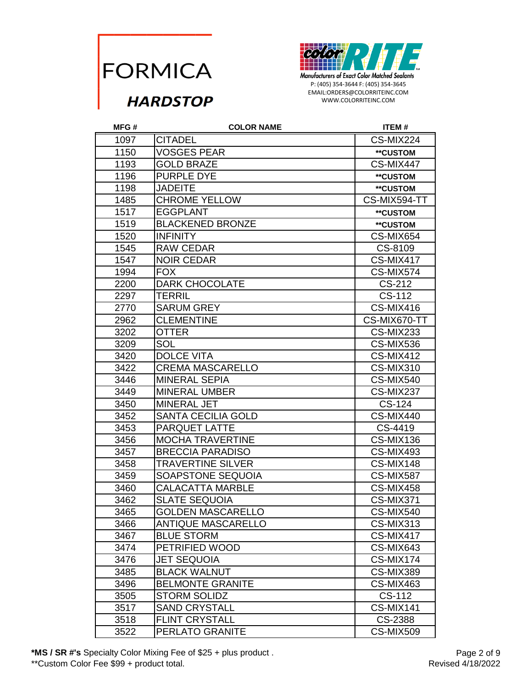

| MFG# | <b>COLOR NAME</b>         | <b>ITEM#</b>    |
|------|---------------------------|-----------------|
| 1097 | <b>CITADEL</b>            | CS-MIX224       |
| 1150 | <b>VOSGES PEAR</b>        | **CUSTOM        |
| 1193 | <b>GOLD BRAZE</b>         | CS-MIX447       |
| 1196 | <b>PURPLE DYE</b>         | **CUSTOM        |
| 1198 | <b>JADEITE</b>            | <b>**CUSTOM</b> |
| 1485 | <b>CHROME YELLOW</b>      | CS-MIX594-TT    |
| 1517 | <b>EGGPLANT</b>           | **CUSTOM        |
| 1519 | <b>BLACKENED BRONZE</b>   | **CUSTOM        |
| 1520 | <b>INFINITY</b>           | CS-MIX654       |
| 1545 | <b>RAW CEDAR</b>          | CS-8109         |
| 1547 | <b>NOIR CEDAR</b>         | CS-MIX417       |
| 1994 | <b>FOX</b>                | CS-MIX574       |
| 2200 | <b>DARK CHOCOLATE</b>     | CS-212          |
| 2297 | <b>TERRIL</b>             | CS-112          |
| 2770 | <b>SARUM GREY</b>         | CS-MIX416       |
| 2962 | <b>CLEMENTINE</b>         | CS-MIX670-TT    |
| 3202 | <b>OTTER</b>              | CS-MIX233       |
| 3209 | SOL                       | CS-MIX536       |
| 3420 | <b>DOLCE VITA</b>         | CS-MIX412       |
| 3422 | <b>CREMA MASCARELLO</b>   | CS-MIX310       |
| 3446 | <b>MINERAL SEPIA</b>      | CS-MIX540       |
| 3449 | <b>MINERAL UMBER</b>      | CS-MIX237       |
| 3450 | <b>MINERAL JET</b>        | CS-124          |
| 3452 | <b>SANTA CECILIA GOLD</b> | CS-MIX440       |
| 3453 | <b>PARQUET LATTE</b>      | CS-4419         |
| 3456 | <b>MOCHA TRAVERTINE</b>   | CS-MIX136       |
| 3457 | <b>BRECCIA PARADISO</b>   | CS-MIX493       |
| 3458 | <b>TRAVERTINE SILVER</b>  | CS-MIX148       |
| 3459 | SOAPSTONE SEQUOIA         | CS-MIX587       |
| 3460 | <b>CALACATTA MARBLE</b>   | CS-MIX458       |
| 3462 | <b>SLATE SEQUOIA</b>      | CS-MIX371       |
| 3465 | <b>GOLDEN MASCARELLO</b>  | CS-MIX540       |
| 3466 | <b>ANTIQUE MASCARELLO</b> | CS-MIX313       |
| 3467 | <b>BLUE STORM</b>         | CS-MIX417       |
| 3474 | PETRIFIED WOOD            | CS-MIX643       |
| 3476 | <b>JET SEQUOIA</b>        | CS-MIX174       |
| 3485 | <b>BLACK WALNUT</b>       | CS-MIX389       |
| 3496 | <b>BELMONTE GRANITE</b>   | CS-MIX463       |
| 3505 | <b>STORM SOLIDZ</b>       | CS-112          |
| 3517 | <b>SAND CRYSTALL</b>      | CS-MIX141       |
| 3518 | <b>FLINT CRYSTALL</b>     | CS-2388         |
| 3522 | PERLATO GRANITE           | CS-MIX509       |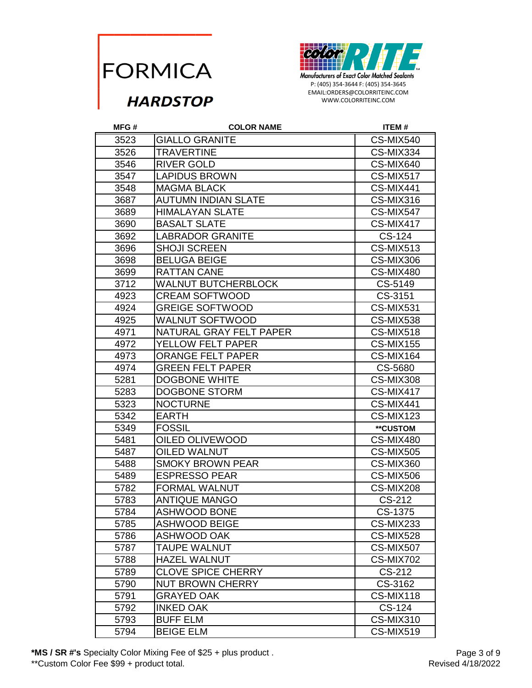

WWW.COLORRITEINC.COM

| MFG# | <b>COLOR NAME</b>          | <b>ITEM#</b>     |
|------|----------------------------|------------------|
| 3523 | <b>GIALLO GRANITE</b>      | CS-MIX540        |
| 3526 | <b>TRAVERTINE</b>          | CS-MIX334        |
| 3546 | <b>RIVER GOLD</b>          | CS-MIX640        |
| 3547 | <b>LAPIDUS BROWN</b>       | CS-MIX517        |
| 3548 | <b>MAGMA BLACK</b>         | CS-MIX441        |
| 3687 | <b>AUTUMN INDIAN SLATE</b> | CS-MIX316        |
| 3689 | <b>HIMALAYAN SLATE</b>     | CS-MIX547        |
| 3690 | <b>BASALT SLATE</b>        | CS-MIX417        |
| 3692 | <b>LABRADOR GRANITE</b>    | CS-124           |
| 3696 | <b>SHOJI SCREEN</b>        | CS-MIX513        |
| 3698 | <b>BELUGA BEIGE</b>        | CS-MIX306        |
| 3699 | <b>RATTAN CANE</b>         | CS-MIX480        |
| 3712 | <b>WALNUT BUTCHERBLOCK</b> | CS-5149          |
| 4923 | <b>CREAM SOFTWOOD</b>      | CS-3151          |
| 4924 | <b>GREIGE SOFTWOOD</b>     | CS-MIX531        |
| 4925 | <b>WALNUT SOFTWOOD</b>     | CS-MIX538        |
| 4971 | NATURAL GRAY FELT PAPER    | CS-MIX518        |
| 4972 | YELLOW FELT PAPER          | <b>CS-MIX155</b> |
| 4973 | <b>ORANGE FELT PAPER</b>   | CS-MIX164        |
| 4974 | <b>GREEN FELT PAPER</b>    | CS-5680          |
| 5281 | <b>DOGBONE WHITE</b>       | CS-MIX308        |
| 5283 | DOGBONE STORM              | CS-MIX417        |
| 5323 | <b>NOCTURNE</b>            | CS-MIX441        |
| 5342 | <b>EARTH</b>               | CS-MIX123        |
| 5349 | <b>FOSSIL</b>              | **CUSTOM         |
| 5481 | OILED OLIVEWOOD            | CS-MIX480        |
| 5487 | <b>OILED WALNUT</b>        | CS-MIX505        |
| 5488 | <b>SMOKY BROWN PEAR</b>    | CS-MIX360        |
| 5489 | <b>ESPRESSO PEAR</b>       | CS-MIX506        |
| 5782 | <b>FORMAL WALNUT</b>       | CS-MIX208        |
| 5783 | <b>ANTIQUE MANGO</b>       | CS-212           |
| 5784 | <b>ASHWOOD BONE</b>        | CS-1375          |
| 5785 | <b>ASHWOOD BEIGE</b>       | CS-MIX233        |
| 5786 | ASHWOOD OAK                | CS-MIX528        |
| 5787 | <b>TAUPE WALNUT</b>        | CS-MIX507        |
| 5788 | <b>HAZEL WALNUT</b>        | CS-MIX702        |
| 5789 | <b>CLOVE SPICE CHERRY</b>  | CS-212           |
| 5790 | <b>NUT BROWN CHERRY</b>    | CS-3162          |
| 5791 | <b>GRAYED OAK</b>          | CS-MIX118        |
| 5792 | <b>INKED OAK</b>           | CS-124           |
| 5793 | <b>BUFF ELM</b>            | CS-MIX310        |
| 5794 | <b>BEIGE ELM</b>           | <b>CS-MIX519</b> |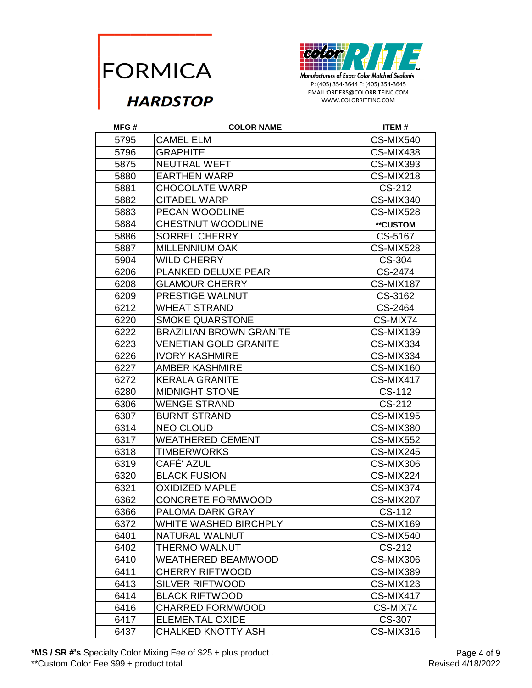

WWW.COLORRITEINC.COM

| MFG# | <b>COLOR NAME</b>              | <b>ITEM#</b>     |
|------|--------------------------------|------------------|
| 5795 | <b>CAMEL ELM</b>               | CS-MIX540        |
| 5796 | <b>GRAPHITE</b>                | CS-MIX438        |
| 5875 | <b>NEUTRAL WEFT</b>            | CS-MIX393        |
| 5880 | <b>EARTHEN WARP</b>            | CS-MIX218        |
| 5881 | <b>CHOCOLATE WARP</b>          | CS-212           |
| 5882 | <b>CITADEL WARP</b>            | CS-MIX340        |
| 5883 | <b>PECAN WOODLINE</b>          | CS-MIX528        |
| 5884 | <b>CHESTNUT WOODLINE</b>       | **CUSTOM         |
| 5886 | <b>SORREL CHERRY</b>           | CS-5167          |
| 5887 | <b>MILLENNIUM OAK</b>          | CS-MIX528        |
| 5904 | <b>WILD CHERRY</b>             | CS-304           |
| 6206 | PLANKED DELUXE PEAR            | CS-2474          |
| 6208 | <b>GLAMOUR CHERRY</b>          | CS-MIX187        |
| 6209 | PRESTIGE WALNUT                | CS-3162          |
| 6212 | <b>WHEAT STRAND</b>            | CS-2464          |
| 6220 | <b>SMOKE QUARSTONE</b>         | CS-MIX74         |
| 6222 | <b>BRAZILIAN BROWN GRANITE</b> | CS-MIX139        |
| 6223 | <b>VENETIAN GOLD GRANITE</b>   | CS-MIX334        |
| 6226 | <b>IVORY KASHMIRE</b>          | CS-MIX334        |
| 6227 | <b>AMBER KASHMIRE</b>          | CS-MIX160        |
| 6272 | <b>KERALA GRANITE</b>          | CS-MIX417        |
| 6280 | <b>MIDNIGHT STONE</b>          | CS-112           |
| 6306 | <b>WENGE STRAND</b>            | CS-212           |
| 6307 | <b>BURNT STRAND</b>            | CS-MIX195        |
| 6314 | <b>NEO CLOUD</b>               | CS-MIX380        |
| 6317 | <b>WEATHERED CEMENT</b>        | <b>CS-MIX552</b> |
| 6318 | <b>TIMBERWORKS</b>             | CS-MIX245        |
| 6319 | CAFÉ' AZUL                     | CS-MIX306        |
| 6320 | <b>BLACK FUSION</b>            | CS-MIX224        |
| 6321 | <b>OXIDIZED MAPLE</b>          | CS-MIX374        |
| 6362 | <b>CONCRETE FORMWOOD</b>       | CS-MIX207        |
| 6366 | PALOMA DARK GRAY               | CS-112           |
| 6372 | WHITE WASHED BIRCHPLY          | CS-MIX169        |
| 6401 | NATURAL WALNUT                 | CS-MIX540        |
| 6402 | THERMO WALNUT                  | CS-212           |
| 6410 | <b>WEATHERED BEAMWOOD</b>      | CS-MIX306        |
| 6411 | <b>CHERRY RIFTWOOD</b>         | CS-MIX389        |
| 6413 | <b>SILVER RIFTWOOD</b>         | CS-MIX123        |
| 6414 | <b>BLACK RIFTWOOD</b>          | CS-MIX417        |
| 6416 | <b>CHARRED FORMWOOD</b>        | CS-MIX74         |
| 6417 | <b>ELEMENTAL OXIDE</b>         | <b>CS-307</b>    |
| 6437 | <b>CHALKED KNOTTY ASH</b>      | CS-MIX316        |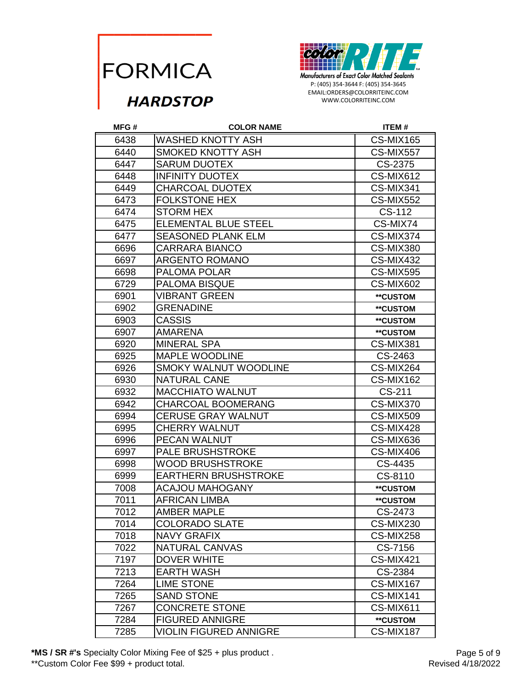

WWW.COLORRITEINC.COM

| MFG# | <b>COLOR NAME</b>             | ITEM#            |
|------|-------------------------------|------------------|
| 6438 | WASHED KNOTTY ASH             | CS-MIX165        |
| 6440 | SMOKED KNOTTY ASH             | CS-MIX557        |
| 6447 | <b>SARUM DUOTEX</b>           | CS-2375          |
| 6448 | <b>INFINITY DUOTEX</b>        | CS-MIX612        |
| 6449 | <b>CHARCOAL DUOTEX</b>        | CS-MIX341        |
| 6473 | <b>FOLKSTONE HEX</b>          | <b>CS-MIX552</b> |
| 6474 | <b>STORM HEX</b>              | CS-112           |
| 6475 | <b>ELEMENTAL BLUE STEEL</b>   | CS-MIX74         |
| 6477 | <b>SEASONED PLANK ELM</b>     | CS-MIX374        |
| 6696 | <b>CARRARA BIANCO</b>         | CS-MIX380        |
| 6697 | <b>ARGENTO ROMANO</b>         | CS-MIX432        |
| 6698 | PALOMA POLAR                  | CS-MIX595        |
| 6729 | <b>PALOMA BISQUE</b>          | CS-MIX602        |
| 6901 | <b>VIBRANT GREEN</b>          | **CUSTOM         |
| 6902 | <b>GRENADINE</b>              | **CUSTOM         |
| 6903 | <b>CASSIS</b>                 | **CUSTOM         |
| 6907 | <b>AMARENA</b>                | **CUSTOM         |
| 6920 | <b>MINERAL SPA</b>            | CS-MIX381        |
| 6925 | <b>MAPLE WOODLINE</b>         | CS-2463          |
| 6926 | <b>SMOKY WALNUT WOODLINE</b>  | CS-MIX264        |
| 6930 | <b>NATURAL CANE</b>           | CS-MIX162        |
| 6932 | <b>MACCHIATO WALNUT</b>       | CS-211           |
| 6942 | <b>CHARCOAL BOOMERANG</b>     | CS-MIX370        |
| 6994 | <b>CERUSE GRAY WALNUT</b>     | CS-MIX509        |
| 6995 | <b>CHERRY WALNUT</b>          | CS-MIX428        |
| 6996 | <b>PECAN WALNUT</b>           | CS-MIX636        |
| 6997 | PALE BRUSHSTROKE              | CS-MIX406        |
| 6998 | <b>WOOD BRUSHSTROKE</b>       | CS-4435          |
| 6999 | <b>EARTHERN BRUSHSTROKE</b>   | CS-8110          |
| 7008 | <b>ACAJOU MAHOGANY</b>        | **CUSTOM         |
| 7011 | <b>AFRICAN LIMBA</b>          | **CUSTOM         |
| 7012 | <b>AMBER MAPLE</b>            | CS-2473          |
| 7014 | <b>COLORADO SLATE</b>         | CS-MIX230        |
| 7018 | <b>NAVY GRAFIX</b>            | CS-MIX258        |
| 7022 | <b>NATURAL CANVAS</b>         | CS-7156          |
| 7197 | <b>DOVER WHITE</b>            | CS-MIX421        |
| 7213 | <b>EARTH WASH</b>             | CS-2384          |
| 7264 | <b>LIME STONE</b>             | CS-MIX167        |
| 7265 | <b>SAND STONE</b>             | CS-MIX141        |
| 7267 | <b>CONCRETE STONE</b>         | CS-MIX611        |
| 7284 | <b>FIGURED ANNIGRE</b>        | <b>**CUSTOM</b>  |
| 7285 | <b>VIOLIN FIGURED ANNIGRE</b> | CS-MIX187        |

**\*MS / SR #'s** Specialty Color Mixing Fee of \$25 + plus product .

\*\*Custom Color Fee \$99 + product total.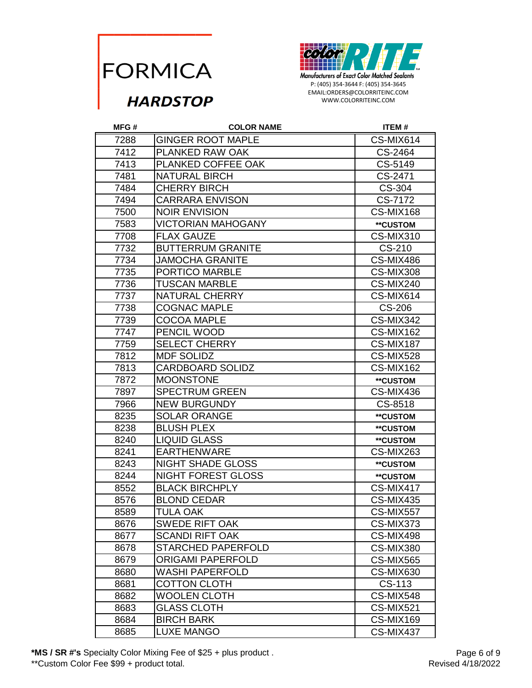

WWW.COLORRITEINC.COM

## **HARDSTOP**

| MFG# | <b>COLOR NAME</b>         | <b>ITEM#</b>     |
|------|---------------------------|------------------|
| 7288 | <b>GINGER ROOT MAPLE</b>  | CS-MIX614        |
| 7412 | PLANKED RAW OAK           | CS-2464          |
| 7413 | PLANKED COFFEE OAK        | CS-5149          |
| 7481 | <b>NATURAL BIRCH</b>      | CS-2471          |
| 7484 | <b>CHERRY BIRCH</b>       | CS-304           |
| 7494 | <b>CARRARA ENVISON</b>    | CS-7172          |
| 7500 | <b>NOIR ENVISION</b>      | CS-MIX168        |
| 7583 | <b>VICTORIAN MAHOGANY</b> | **CUSTOM         |
| 7708 | <b>FLAX GAUZE</b>         | CS-MIX310        |
| 7732 | <b>BUTTERRUM GRANITE</b>  | CS-210           |
| 7734 | <b>JAMOCHA GRANITE</b>    | CS-MIX486        |
| 7735 | PORTICO MARBLE            | CS-MIX308        |
| 7736 | <b>TUSCAN MARBLE</b>      | CS-MIX240        |
| 7737 | <b>NATURAL CHERRY</b>     | CS-MIX614        |
| 7738 | <b>COGNAC MAPLE</b>       | <b>CS-206</b>    |
| 7739 | <b>COCOA MAPLE</b>        | CS-MIX342        |
| 7747 | PENCIL WOOD               | CS-MIX162        |
| 7759 | <b>SELECT CHERRY</b>      | CS-MIX187        |
| 7812 | <b>MDF SOLIDZ</b>         | CS-MIX528        |
| 7813 | <b>CARDBOARD SOLIDZ</b>   | CS-MIX162        |
| 7872 | <b>MOONSTONE</b>          | **CUSTOM         |
| 7897 | <b>SPECTRUM GREEN</b>     | CS-MIX436        |
| 7966 | <b>NEW BURGUNDY</b>       | CS-8518          |
| 8235 | <b>SOLAR ORANGE</b>       | **CUSTOM         |
| 8238 | <b>BLUSH PLEX</b>         | **CUSTOM         |
| 8240 | <b>LIQUID GLASS</b>       | **CUSTOM         |
| 8241 | <b>EARTHENWARE</b>        | CS-MIX263        |
| 8243 | <b>NIGHT SHADE GLOSS</b>  | **CUSTOM         |
| 8244 | <b>NIGHT FOREST GLOSS</b> | **CUSTOM         |
| 8552 | <b>BLACK BIRCHPLY</b>     | CS-MIX417        |
| 8576 | <b>BLOND CEDAR</b>        | <b>CS-MIX435</b> |
| 8589 | TULA OAK                  | CS-MIX557        |
| 8676 | <b>SWEDE RIFT OAK</b>     | CS-MIX373        |
| 8677 | <b>SCANDI RIFT OAK</b>    | CS-MIX498        |
| 8678 | <b>STARCHED PAPERFOLD</b> | CS-MIX380        |
| 8679 | <b>ORIGAMI PAPERFOLD</b>  | <b>CS-MIX565</b> |
| 8680 | <b>WASHI PAPERFOLD</b>    | CS-MIX630        |
| 8681 | <b>COTTON CLOTH</b>       | CS-113           |
| 8682 | <b>WOOLEN CLOTH</b>       | CS-MIX548        |
| 8683 | <b>GLASS CLOTH</b>        | CS-MIX521        |
| 8684 | <b>BIRCH BARK</b>         | CS-MIX169        |
| 8685 | <b>LUXE MANGO</b>         | CS-MIX437        |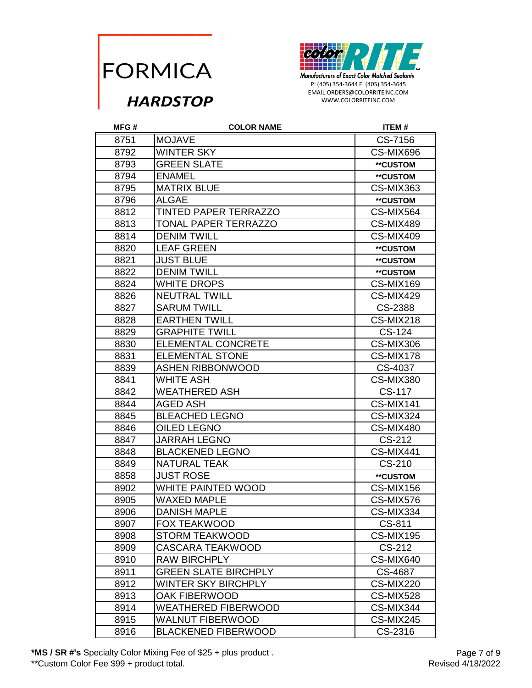

EMAIL:ORDERS@COLORRITEINC.COM WWW.COLORRITEINC.COM

| MFG# | <b>COLOR NAME</b>            | <b>ITEM#</b>     |
|------|------------------------------|------------------|
| 8751 | <b>MOJAVE</b>                | CS-7156          |
| 8792 | <b>WINTER SKY</b>            | CS-MIX696        |
| 8793 | <b>GREEN SLATE</b>           | **CUSTOM         |
| 8794 | <b>ENAMEL</b>                | **CUSTOM         |
| 8795 | <b>MATRIX BLUE</b>           | CS-MIX363        |
| 8796 | <b>ALGAE</b>                 | **CUSTOM         |
| 8812 | <b>TINTED PAPER TERRAZZO</b> | CS-MIX564        |
| 8813 | TONAL PAPER TERRAZZO         | CS-MIX489        |
| 8814 | <b>DENIM TWILL</b>           | CS-MIX409        |
| 8820 | <b>LEAF GREEN</b>            | **CUSTOM         |
| 8821 | <b>JUST BLUE</b>             | **CUSTOM         |
| 8822 | <b>DENIM TWILL</b>           | **CUSTOM         |
| 8824 | <b>WHITE DROPS</b>           | CS-MIX169        |
| 8826 | <b>NEUTRAL TWILL</b>         | CS-MIX429        |
| 8827 | <b>SARUM TWILL</b>           | CS-2388          |
| 8828 | <b>EARTHEN TWILL</b>         | CS-MIX218        |
| 8829 | <b>GRAPHITE TWILL</b>        | CS-124           |
| 8830 | <b>ELEMENTAL CONCRETE</b>    | CS-MIX306        |
| 8831 | <b>ELEMENTAL STONE</b>       | CS-MIX178        |
| 8839 | <b>ASHEN RIBBONWOOD</b>      | CS-4037          |
| 8841 | WHITE ASH                    | <b>CS-MIX380</b> |
| 8842 | <b>WEATHERED ASH</b>         | CS-117           |
| 8844 | AGED ASH                     | CS-MIX141        |
| 8845 | <b>BLEACHED LEGNO</b>        | CS-MIX324        |
| 8846 | <b>OILED LEGNO</b>           | CS-MIX480        |
| 8847 | <b>JARRAH LEGNO</b>          | CS-212           |
| 8848 | <b>BLACKENED LEGNO</b>       | CS-MIX441        |
| 8849 | <b>NATURAL TEAK</b>          | CS-210           |
| 8858 | <b>JUST ROSE</b>             | **CUSTOM         |
| 8902 | WHITE PAINTED WOOD           | CS-MIX156        |
| 8905 | <b>WAXED MAPLE</b>           | CS-MIX576        |
| 8906 | <b>DANISH MAPLE</b>          | CS-MIX334        |
| 8907 | <b>FOX TEAKWOOD</b>          | CS-811           |
| 8908 | <b>STORM TEAKWOOD</b>        | <b>CS-MIX195</b> |
| 8909 | CASCARA TEAKWOOD             | CS-212           |
| 8910 | <b>RAW BIRCHPLY</b>          | CS-MIX640        |
| 8911 | <b>GREEN SLATE BIRCHPLY</b>  | CS-4687          |
| 8912 | <b>WINTER SKY BIRCHPLY</b>   | CS-MIX220        |
| 8913 | OAK FIBERWOOD                | CS-MIX528        |
| 8914 | <b>WEATHERED FIBERWOOD</b>   | CS-MIX344        |
| 8915 | WALNUT FIBERWOOD             | CS-MIX245        |
| 8916 | <b>BLACKENED FIBERWOOD</b>   | CS-2316          |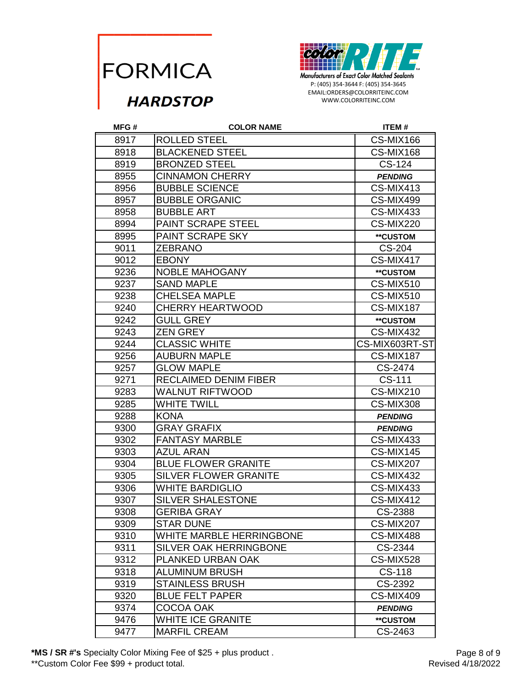

WWW.COLORRITEINC.COM

| MFG# | <b>COLOR NAME</b>             | <b>ITEM#</b>     |
|------|-------------------------------|------------------|
| 8917 | <b>ROLLED STEEL</b>           | CS-MIX166        |
| 8918 | <b>BLACKENED STEEL</b>        | CS-MIX168        |
| 8919 | <b>BRONZED STEEL</b>          | CS-124           |
| 8955 | <b>CINNAMON CHERRY</b>        | <b>PENDING</b>   |
| 8956 | <b>BUBBLE SCIENCE</b>         | CS-MIX413        |
| 8957 | <b>BUBBLE ORGANIC</b>         | CS-MIX499        |
| 8958 | <b>BUBBLE ART</b>             | CS-MIX433        |
| 8994 | PAINT SCRAPE STEEL            | CS-MIX220        |
| 8995 | PAINT SCRAPE SKY              | **CUSTOM         |
| 9011 | <b>ZEBRANO</b>                | <b>CS-204</b>    |
| 9012 | <b>EBONY</b>                  | CS-MIX417        |
| 9236 | <b>NOBLE MAHOGANY</b>         | **CUSTOM         |
| 9237 | <b>SAND MAPLE</b>             | CS-MIX510        |
| 9238 | <b>CHELSEA MAPLE</b>          | CS-MIX510        |
| 9240 | <b>CHERRY HEARTWOOD</b>       | CS-MIX187        |
| 9242 | <b>GULL GREY</b>              | **CUSTOM         |
| 9243 | <b>ZEN GREY</b>               | CS-MIX432        |
| 9244 | <b>CLASSIC WHITE</b>          | CS-MIX603RT-ST   |
| 9256 | <b>AUBURN MAPLE</b>           | CS-MIX187        |
| 9257 | <b>GLOW MAPLE</b>             | CS-2474          |
| 9271 | RECLAIMED DENIM FIBER         | CS-111           |
| 9283 | <b>WALNUT RIFTWOOD</b>        | <b>CS-MIX210</b> |
| 9285 | <b>WHITE TWILL</b>            | CS-MIX308        |
| 9288 | <b>KONA</b>                   | <b>PENDING</b>   |
| 9300 | <b>GRAY GRAFIX</b>            | <b>PENDING</b>   |
| 9302 | <b>FANTASY MARBLE</b>         | CS-MIX433        |
| 9303 | <b>AZUL ARAN</b>              | CS-MIX145        |
| 9304 | <b>BLUE FLOWER GRANITE</b>    | CS-MIX207        |
| 9305 | <b>SILVER FLOWER GRANITE</b>  | CS-MIX432        |
| 9306 | <b>WHITE BARDIGLIO</b>        | CS-MIX433        |
| 9307 | <b>SILVER SHALESTONE</b>      | CS-MIX412        |
| 9308 | <b>GERIBA GRAY</b>            | CS-2388          |
| 9309 | <b>STAR DUNE</b>              | CS-MIX207        |
| 9310 | WHITE MARBLE HERRINGBONE      | CS-MIX488        |
| 9311 | <b>SILVER OAK HERRINGBONE</b> | CS-2344          |
| 9312 | PLANKED URBAN OAK             | CS-MIX528        |
| 9318 | <b>ALUMINUM BRUSH</b>         | CS-118           |
| 9319 | <b>STAINLESS BRUSH</b>        | CS-2392          |
| 9320 | <b>BLUE FELT PAPER</b>        | CS-MIX409        |
| 9374 | COCOA OAK                     | <b>PENDING</b>   |
| 9476 | <b>WHITE ICE GRANITE</b>      | **CUSTOM         |
| 9477 | <b>MARFIL CREAM</b>           | CS-2463          |